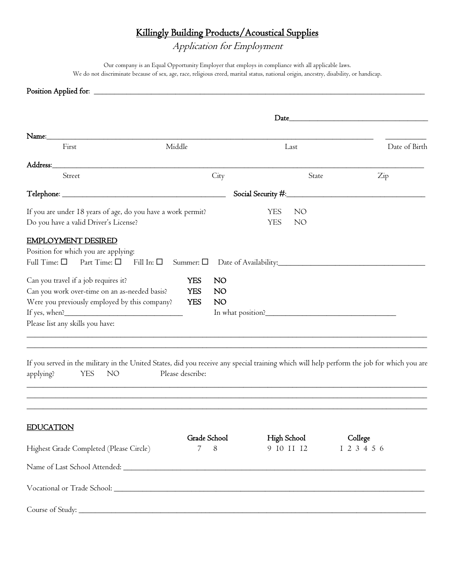## Killingly Building Products/Acoustical Supplies

Application for Employment

Our company is an Equal Opportunity Employer that employs in compliance with all applicable laws. We do not discriminate because of sex, age, race, religious creed, marital status, national origin, ancestry, disability, or handicap.

## Position Applied for: \_

|                                                                                                                                                                                                                                | Date_                                                                                   |                                                   |                  |  |  |  |
|--------------------------------------------------------------------------------------------------------------------------------------------------------------------------------------------------------------------------------|-----------------------------------------------------------------------------------------|---------------------------------------------------|------------------|--|--|--|
| Name:                                                                                                                                                                                                                          |                                                                                         |                                                   |                  |  |  |  |
| First                                                                                                                                                                                                                          | Middle                                                                                  | Last                                              | Date of Birth    |  |  |  |
| Address: Note that the state of the state of the state of the state of the state of the state of the state of the state of the state of the state of the state of the state of the state of the state of the state of the stat |                                                                                         |                                                   |                  |  |  |  |
| Street                                                                                                                                                                                                                         | City                                                                                    | State                                             | $\overline{Zip}$ |  |  |  |
|                                                                                                                                                                                                                                |                                                                                         | Social Security #:                                |                  |  |  |  |
| If you are under 18 years of age, do you have a work permit?<br>Do you have a valid Driver's License?                                                                                                                          |                                                                                         | <b>YES</b><br>NO<br><b>YES</b><br>NO <sub>1</sub> |                  |  |  |  |
| <b>EMPLOYMENT DESIRED</b><br>Position for which you are applying:<br>Full Time: $\square$ Part Time: $\square$ Fill In: $\square$                                                                                              |                                                                                         |                                                   |                  |  |  |  |
| Can you travel if a job requires it?<br>Can you work over-time on an as-needed basis?<br>Were you previously employed by this company?<br>Please list any skills you have:                                                     | <b>YES</b><br><b>NO</b><br><b>YES</b><br>N <sub>O</sub><br><b>YES</b><br>N <sub>O</sub> |                                                   |                  |  |  |  |
| If you served in the military in the United States, did you receive any special training which will help perform the job for which you are<br>applying?<br><b>YES</b><br>NO <sub>1</sub>                                       | Please describe:                                                                        |                                                   |                  |  |  |  |
| <b>EDUCATION</b>                                                                                                                                                                                                               | Grade School                                                                            | High School                                       | College          |  |  |  |
| Highest Grade Completed (Please Circle)                                                                                                                                                                                        | 7<br>8                                                                                  | 9 10 11 12                                        | 1 2 3 4 5 6      |  |  |  |
|                                                                                                                                                                                                                                |                                                                                         |                                                   |                  |  |  |  |
|                                                                                                                                                                                                                                |                                                                                         |                                                   |                  |  |  |  |
|                                                                                                                                                                                                                                |                                                                                         |                                                   |                  |  |  |  |